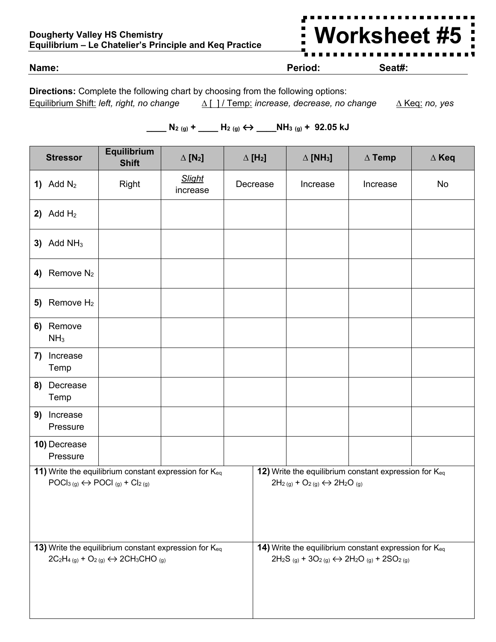## **Dougherty Valley HS Chemistry Equilibrium – Le Chatelier's Principle and Keq Practice**



**Name: Period: Seat#:**

**Directions:** Complete the following chart by choosing from the following options: Equilibrium Shift: *left, right, no change ∆* [ ] / Temp: *increase, decrease, no change ∆* Keq: *no, yes*

## **\_\_\_\_ N2 (g) + \_\_\_\_ H2 (g) ↔ \_\_\_\_NH3 (g) + 92.05 kJ**

| <b>Stressor</b>                                                                                                                                                                                              |                              | Equilibrium<br><b>Shift</b>                                                                                                                       | $\Delta$ [N <sub>2</sub> ] | $\Delta$ [H <sub>2</sub> ] | $\triangle$ [NH <sub>3</sub> ]                                                                                                                                       | $\Delta$ Temp | $\Delta$ Keq |
|--------------------------------------------------------------------------------------------------------------------------------------------------------------------------------------------------------------|------------------------------|---------------------------------------------------------------------------------------------------------------------------------------------------|----------------------------|----------------------------|----------------------------------------------------------------------------------------------------------------------------------------------------------------------|---------------|--------------|
|                                                                                                                                                                                                              | 1) Add $N_2$                 | Right                                                                                                                                             | <b>Slight</b><br>increase  | Decrease                   | Increase                                                                                                                                                             | Increase      | No           |
|                                                                                                                                                                                                              | 2) Add $H_2$                 |                                                                                                                                                   |                            |                            |                                                                                                                                                                      |               |              |
| 3)                                                                                                                                                                                                           | Add $NH3$                    |                                                                                                                                                   |                            |                            |                                                                                                                                                                      |               |              |
| 4)                                                                                                                                                                                                           | Remove $N_2$                 |                                                                                                                                                   |                            |                            |                                                                                                                                                                      |               |              |
| 5)                                                                                                                                                                                                           | Remove $H_2$                 |                                                                                                                                                   |                            |                            |                                                                                                                                                                      |               |              |
|                                                                                                                                                                                                              | 6) Remove<br>NH <sub>3</sub> |                                                                                                                                                   |                            |                            |                                                                                                                                                                      |               |              |
| 7)                                                                                                                                                                                                           | Increase<br>Temp             |                                                                                                                                                   |                            |                            |                                                                                                                                                                      |               |              |
| 8)                                                                                                                                                                                                           | Decrease<br>Temp             |                                                                                                                                                   |                            |                            |                                                                                                                                                                      |               |              |
| 9)                                                                                                                                                                                                           | Increase<br>Pressure         |                                                                                                                                                   |                            |                            |                                                                                                                                                                      |               |              |
|                                                                                                                                                                                                              | 10) Decrease<br>Pressure     |                                                                                                                                                   |                            |                            |                                                                                                                                                                      |               |              |
| 12) Write the equilibrium constant expression for Keq<br>11) Write the equilibrium constant expression for Keq<br>$POCl3(g) \leftrightarrow POCl(g) + Cl2(g)$<br>$2H_2(g) + O_2(g) \leftrightarrow 2H_2O(g)$ |                              |                                                                                                                                                   |                            |                            |                                                                                                                                                                      |               |              |
|                                                                                                                                                                                                              |                              | 13) Write the equilibrium constant expression for Keq<br>$2C_2H_{4(g)}$ + O <sub>2(g)</sub> $\leftrightarrow$ 2CH <sub>3</sub> CHO <sub>(g)</sub> |                            |                            | 14) Write the equilibrium constant expression for Keq<br>$2H_2S_{(g)}$ + 3O <sub>2(g)</sub> $\leftrightarrow$ 2H <sub>2</sub> O <sub>(g)</sub> + 2SO <sub>2(g)</sub> |               |              |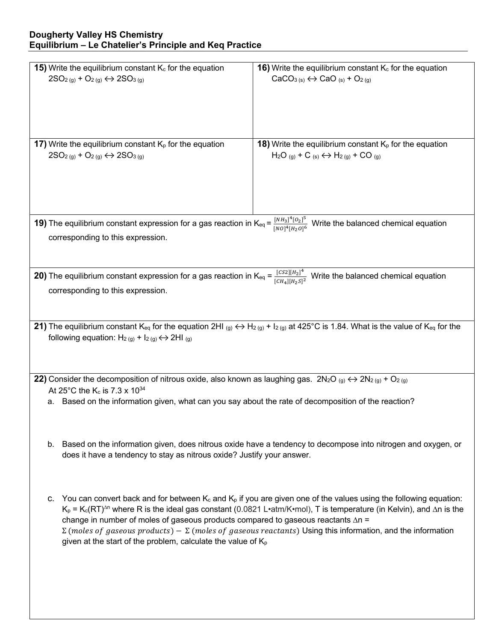| <b>15)</b> Write the equilibrium constant $K_c$ for the equation                                                                                                                                                                    | 16) Write the equilibrium constant $K_c$ for the equation                                                                                                                                   |  |  |  |  |  |  |
|-------------------------------------------------------------------------------------------------------------------------------------------------------------------------------------------------------------------------------------|---------------------------------------------------------------------------------------------------------------------------------------------------------------------------------------------|--|--|--|--|--|--|
| $2SO_{2(g)} + O_{2(g)} \leftrightarrow 2SO_{3(g)}$                                                                                                                                                                                  | $CaCO3(s) \leftrightarrow CaO(s) + O2(g)$                                                                                                                                                   |  |  |  |  |  |  |
|                                                                                                                                                                                                                                     |                                                                                                                                                                                             |  |  |  |  |  |  |
|                                                                                                                                                                                                                                     |                                                                                                                                                                                             |  |  |  |  |  |  |
|                                                                                                                                                                                                                                     |                                                                                                                                                                                             |  |  |  |  |  |  |
|                                                                                                                                                                                                                                     |                                                                                                                                                                                             |  |  |  |  |  |  |
|                                                                                                                                                                                                                                     |                                                                                                                                                                                             |  |  |  |  |  |  |
| 17) Write the equilibrium constant $K_p$ for the equation                                                                                                                                                                           | <b>18)</b> Write the equilibrium constant $K_p$ for the equation                                                                                                                            |  |  |  |  |  |  |
| $2SO_{2(g)} + O_{2(g)} \leftrightarrow 2SO_{3(g)}$                                                                                                                                                                                  | $H_2O_{(g)}$ + C (s) $\leftrightarrow$ H <sub>2(g)</sub> + CO (g)                                                                                                                           |  |  |  |  |  |  |
|                                                                                                                                                                                                                                     |                                                                                                                                                                                             |  |  |  |  |  |  |
|                                                                                                                                                                                                                                     |                                                                                                                                                                                             |  |  |  |  |  |  |
|                                                                                                                                                                                                                                     |                                                                                                                                                                                             |  |  |  |  |  |  |
|                                                                                                                                                                                                                                     |                                                                                                                                                                                             |  |  |  |  |  |  |
|                                                                                                                                                                                                                                     |                                                                                                                                                                                             |  |  |  |  |  |  |
| <b>19)</b> The equilibrium constant expression for a gas reaction in K <sub>eq</sub> = $\frac{[NH_3]^4[O_2]^5}{[NO]^4[H_2O]^6}$ Write the balanced chemical equation                                                                |                                                                                                                                                                                             |  |  |  |  |  |  |
|                                                                                                                                                                                                                                     |                                                                                                                                                                                             |  |  |  |  |  |  |
| corresponding to this expression.                                                                                                                                                                                                   |                                                                                                                                                                                             |  |  |  |  |  |  |
|                                                                                                                                                                                                                                     |                                                                                                                                                                                             |  |  |  |  |  |  |
|                                                                                                                                                                                                                                     |                                                                                                                                                                                             |  |  |  |  |  |  |
| <b>20)</b> The equilibrium constant expression for a gas reaction in $K_{eq} = \frac{[CS2][H_2]^4}{[CH_4][H_2S]^2}$ Write the balanced chemical equation                                                                            |                                                                                                                                                                                             |  |  |  |  |  |  |
| corresponding to this expression.                                                                                                                                                                                                   |                                                                                                                                                                                             |  |  |  |  |  |  |
|                                                                                                                                                                                                                                     |                                                                                                                                                                                             |  |  |  |  |  |  |
|                                                                                                                                                                                                                                     |                                                                                                                                                                                             |  |  |  |  |  |  |
|                                                                                                                                                                                                                                     |                                                                                                                                                                                             |  |  |  |  |  |  |
| 21) The equilibrium constant K <sub>eq</sub> for the equation 2HI (g) $\leftrightarrow$ H <sub>2(g)</sub> + I <sub>2(g)</sub> at 425°C is 1.84. What is the value of K <sub>eq</sub> for the                                        |                                                                                                                                                                                             |  |  |  |  |  |  |
| following equation: $H_2(g) + I_2(g) \leftrightarrow 2H_2(g)$                                                                                                                                                                       |                                                                                                                                                                                             |  |  |  |  |  |  |
|                                                                                                                                                                                                                                     |                                                                                                                                                                                             |  |  |  |  |  |  |
|                                                                                                                                                                                                                                     |                                                                                                                                                                                             |  |  |  |  |  |  |
| 22) Consider the decomposition of nitrous oxide, also known as laughing gas. $2N_2O_{(g)} \leftrightarrow 2N_2_{(g)} + O_{2(g)}$                                                                                                    |                                                                                                                                                                                             |  |  |  |  |  |  |
|                                                                                                                                                                                                                                     |                                                                                                                                                                                             |  |  |  |  |  |  |
|                                                                                                                                                                                                                                     | At 25°C the K <sub>c</sub> is 7.3 x $10^{34}$                                                                                                                                               |  |  |  |  |  |  |
| а.                                                                                                                                                                                                                                  | Based on the information given, what can you say about the rate of decomposition of the reaction?                                                                                           |  |  |  |  |  |  |
|                                                                                                                                                                                                                                     |                                                                                                                                                                                             |  |  |  |  |  |  |
|                                                                                                                                                                                                                                     |                                                                                                                                                                                             |  |  |  |  |  |  |
| b.                                                                                                                                                                                                                                  |                                                                                                                                                                                             |  |  |  |  |  |  |
|                                                                                                                                                                                                                                     | Based on the information given, does nitrous oxide have a tendency to decompose into nitrogen and oxygen, or                                                                                |  |  |  |  |  |  |
|                                                                                                                                                                                                                                     | does it have a tendency to stay as nitrous oxide? Justify your answer.                                                                                                                      |  |  |  |  |  |  |
|                                                                                                                                                                                                                                     |                                                                                                                                                                                             |  |  |  |  |  |  |
|                                                                                                                                                                                                                                     |                                                                                                                                                                                             |  |  |  |  |  |  |
|                                                                                                                                                                                                                                     |                                                                                                                                                                                             |  |  |  |  |  |  |
| You can convert back and for between $K_c$ and $K_p$ if you are given one of the values using the following equation:<br>c.                                                                                                         |                                                                                                                                                                                             |  |  |  |  |  |  |
| $K_p = K_c (RT)^{\Delta n}$ where R is the ideal gas constant (0.0821 L•atm/K•mol), T is temperature (in Kelvin), and $\Delta n$ is the<br>change in number of moles of gaseous products compared to gaseous reactants $\Delta n =$ |                                                                                                                                                                                             |  |  |  |  |  |  |
|                                                                                                                                                                                                                                     |                                                                                                                                                                                             |  |  |  |  |  |  |
|                                                                                                                                                                                                                                     | $\Sigma$ (moles of gaseous products) – $\Sigma$ (moles of gaseous reactants) Using this information, and the information<br>given at the start of the problem, calculate the value of $K_p$ |  |  |  |  |  |  |
|                                                                                                                                                                                                                                     |                                                                                                                                                                                             |  |  |  |  |  |  |
|                                                                                                                                                                                                                                     |                                                                                                                                                                                             |  |  |  |  |  |  |
|                                                                                                                                                                                                                                     |                                                                                                                                                                                             |  |  |  |  |  |  |
|                                                                                                                                                                                                                                     |                                                                                                                                                                                             |  |  |  |  |  |  |
|                                                                                                                                                                                                                                     |                                                                                                                                                                                             |  |  |  |  |  |  |
|                                                                                                                                                                                                                                     |                                                                                                                                                                                             |  |  |  |  |  |  |
|                                                                                                                                                                                                                                     |                                                                                                                                                                                             |  |  |  |  |  |  |